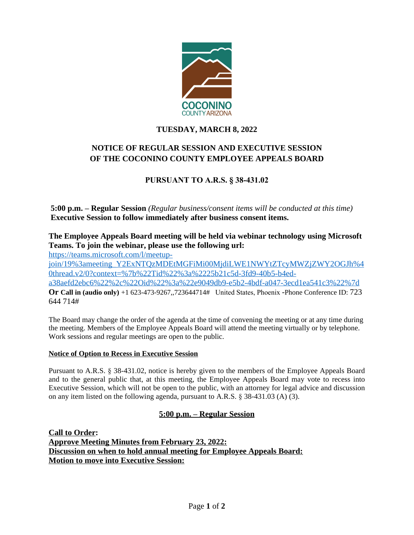

## **TUESDAY, MARCH 8, 2022**

# **NOTICE OF REGULAR SESSION AND EXECUTIVE SESSION OF THE COCONINO COUNTY EMPLOYEE APPEALS BOARD**

# **PURSUANT TO A.R.S. § 38-431.02**

**5:00 p.m. – Regular Session** *(Regular business/consent items will be conducted at this time)*  **Executive Session to follow immediately after business consent items.**

# **The Employee Appeals Board meeting will be held via webinar technology using Microsoft Teams. To join the webinar, please use the following url:**

[https://teams.microsoft.com/l/meetup-](https://teams.microsoft.com/l/meetup-join/19%3ameeting_Y2ExNTQzMDEtMGFiMi00MjdiLWE1NWYtZTcyMWZjZWY2OGJh%40thread.v2/0?context=%7b%22Tid%22%3a%2225b21c5d-3fd9-40b5-b4ed-a38aefd2ebc6%22%2c%22Oid%22%3a%22e9049db9-e5b2-4bdf-a047-3ecd1ea541c3%22%7d)

join/19%3ameeting\_Y2ExNTQzMDEtMGFiMi00MjdiLWE1NWYtZTcyMWZjZWY2OGJh%4 0thread.v2/0?context=%7b%22Tid%22%3a%2225b21c5d-3fd9-40b5-b4eda38aefd2ebc6%22%2c%22Oid%22%3a%22e9049db9-e5b2-4bdf-a047-3ecd1ea541c3%22%7d

**Or Call in (audio only)** +1 623-473-9267,,723644714# United States, Phoenix -Phone Conference ID: 723 644 714#

The Board may change the order of the agenda at the time of convening the meeting or at any time during the meeting. Members of the Employee Appeals Board will attend the meeting virtually or by telephone. Work sessions and regular meetings are open to the public.

### **Notice of Option to Recess in Executive Session**

Pursuant to A.R.S. § 38-431.02, notice is hereby given to the members of the Employee Appeals Board and to the general public that, at this meeting, the Employee Appeals Board may vote to recess into Executive Session, which will not be open to the public, with an attorney for legal advice and discussion on any item listed on the following agenda, pursuant to A.R.S. § 38-431.03 (A) (3).

### **5:00 p.m. – Regular Session**

**Call to Order: Approve Meeting Minutes from February 23, 2022: Discussion on when to hold annual meeting for Employee Appeals Board: Motion to move into Executive Session:**